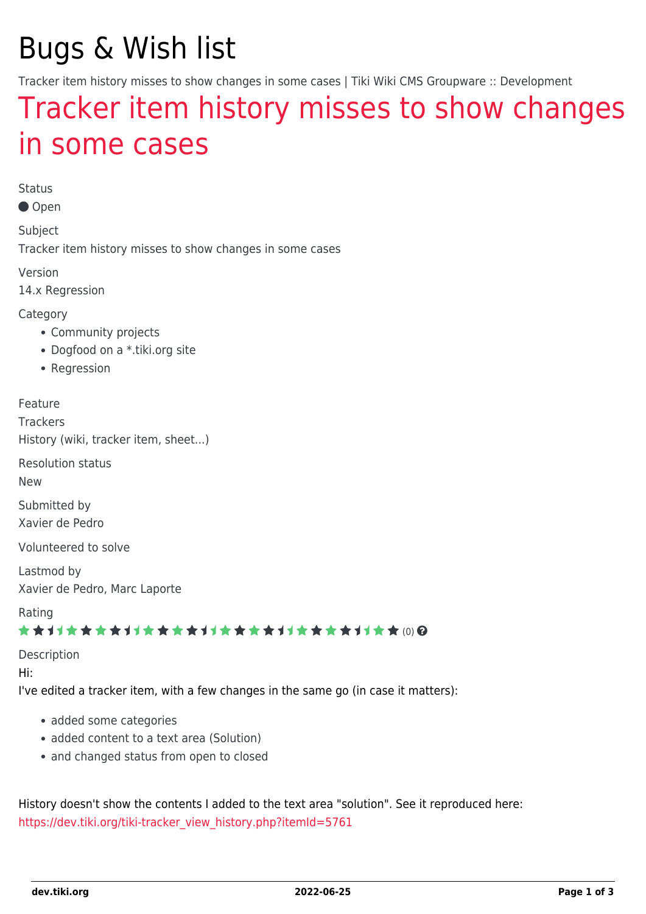# Bugs & Wish list

Tracker item history misses to show changes in some cases | Tiki Wiki CMS Groupware :: Development

## [Tracker item history misses to show changes](https://dev.tiki.org/item5762-Tracker-item-history-misses-to-show-changes-in-some-cases) [in some cases](https://dev.tiki.org/item5762-Tracker-item-history-misses-to-show-changes-in-some-cases)

Status

Open

Subject

Tracker item history misses to show changes in some cases

Version

14.x Regression

**Category** 

- Community projects
- Dogfood on a \*.tiki.org site
- Regression

Feature

**Trackers** History (wiki, tracker item, sheet...)

Resolution status

New

Submitted by Xavier de Pedro

Volunteered to solve

Lastmod by Xavier de Pedro, Marc Laporte

Rating

#### ★★→★★★★→★★★★★→★★★★★★★★★★★★★★ (0) @

Description

Hi:

I've edited a tracker item, with a few changes in the same go (in case it matters):

- added some categories
- added content to a text area (Solution)
- and changed status from open to closed

History doesn't show the contents I added to the text area "solution". See it reproduced here: [https://dev.tiki.org/tiki-tracker\\_view\\_history.php?itemId=5761](https://dev.tiki.org/tiki-tracker_view_history.php?itemId=5761)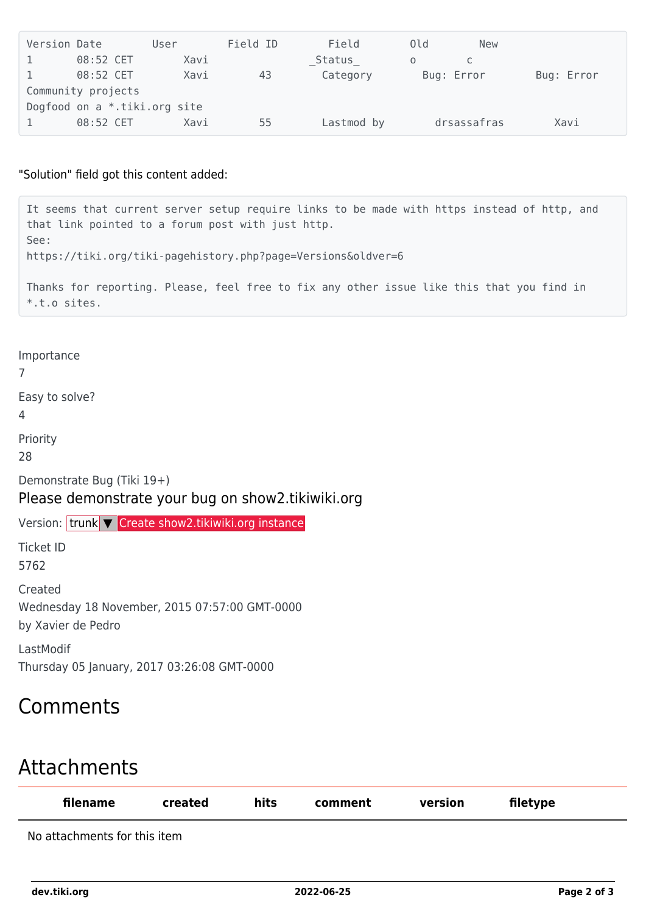| Version Date                 |             | User | Field ID | Field      | 0ld | <b>New</b>  |            |  |  |  |
|------------------------------|-------------|------|----------|------------|-----|-------------|------------|--|--|--|
|                              | 08:52 CET   | Xavi |          | Status     | 0   |             |            |  |  |  |
|                              | $08:52$ CET | Xavi | 43       | Category   |     | Bug: Error  | Bug: Error |  |  |  |
| Community projects           |             |      |          |            |     |             |            |  |  |  |
| Dogfood on a *.tiki.org site |             |      |          |            |     |             |            |  |  |  |
|                              | 08:52 CET   | Xavi | 55       | Lastmod by |     | drsassafras | Xavi       |  |  |  |

#### "Solution" field got this content added:

It seems that current server setup require links to be made with https instead of http, and that link pointed to a forum post with just http. See: https://tiki.org/tiki-pagehistory.php?page=Versions&oldver=6 Thanks for reporting. Please, feel free to fix any other issue like this that you find in \*.t.o sites.

Importance

7

Easy to solve?

4

Priority

28

Demonstrate Bug (Tiki 19+)

### Please demonstrate your bug on show2.tikiwiki.org

Version: trunk ▼ [Create show2.tikiwiki.org instance](#page--1-0)

Ticket ID 5762

Created Wednesday 18 November, 2015 07:57:00 GMT-0000 by Xavier de Pedro

LastModif Thursday 05 January, 2017 03:26:08 GMT-0000

## Comments

## Attachments

| filename                     | created | hits | comment | version | filetype |
|------------------------------|---------|------|---------|---------|----------|
| No attachments for this item |         |      |         |         |          |